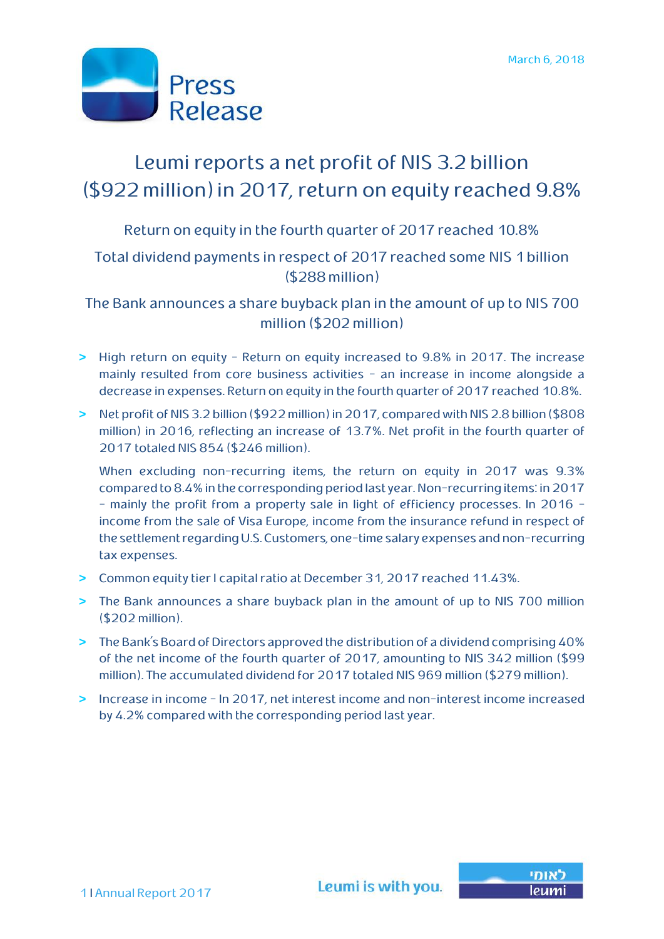

# Leumi reports a net profit of NIS 3.2 billion (\$922 million)in 2017, return on equity reached 9.8%

Return on equity in the fourth quarter of 2017 reached 10.8%

### Total dividend payments in respect of 2017 reached some NIS 1 billion (\$288 million)

The Bank announces a share buyback plan in the amount of up to NIS 700 million (\$202 million)

- **>** High return on equity Return on equity increased to 9.8% in 2017. The increase mainly resulted from core business activities - an increase in income alongside a decrease in expenses. Return on equity in the fourth quarter of 2017 reached 10.8%.
- **>** Net profit of NIS 3.2 billion (\$922 million) in 2017, compared with NIS 2.8 billion (\$808 million) in 2016, reflecting an increase of 13.7%. Net profit in the fourth quarter of 2017 totaled NIS 854 (\$246 million).

When excluding non-recurring items, the return on equity in 2017 was 9.3% compared to 8.4% in the corresponding period last year. Non-recurringitems: in 2017 – mainly the profit from a property sale in light of efficiency processes. In 2016 income from the sale of Visa Europe, income from the insurance refund in respect of the settlement regarding U.S. Customers, one-time salary expenses and non-recurring tax expenses.

- **>** Common equity tier I capital ratio at December 31, 2017 reached 11.43%.
- **>** The Bank announces a share buyback plan in the amount of up to NIS 700 million (\$202 million).
- **>** The Bank's Board of Directors approved the distribution of a dividend comprising 40% of the net income of the fourth quarter of 2017, amounting to NIS 342 million (\$99 million). The accumulated dividend for 2017 totaled NIS 969 million (\$279 million).
- **>** Increase in income In 2017, net interest income and non-interest income increased by 4.2% compared with the corresponding period last year.

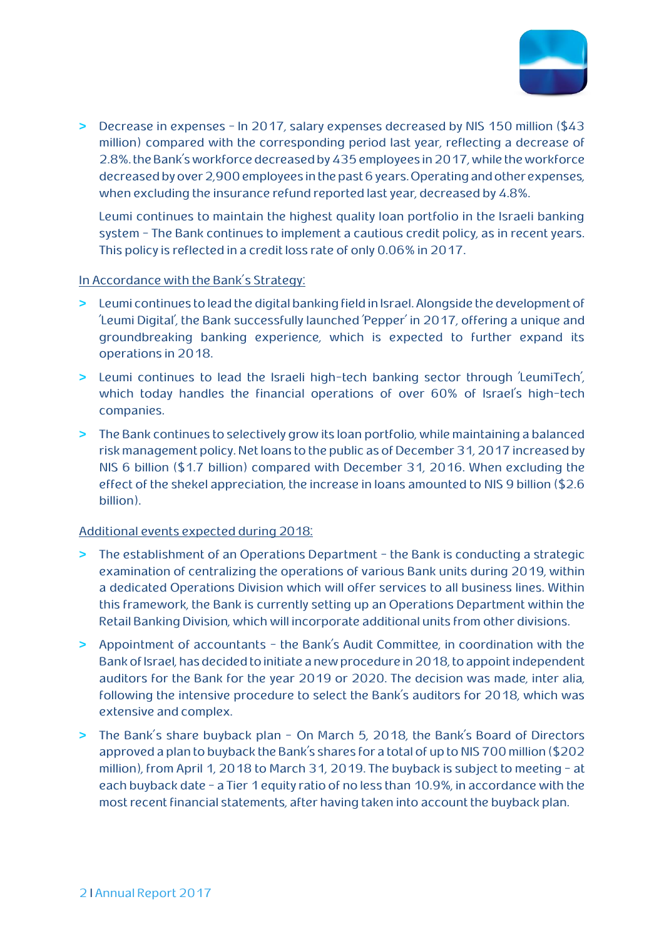

**>** Decrease in expenses – In 2017, salary expenses decreased by NIS 150 million (\$43 million) compared with the corresponding period last year, reflecting a decrease of 2.8%. the Bank's workforce decreased by 435 employees in 2017, while the workforce decreased by over 2,900 employees in the past 6 years. Operating and other expenses, when excluding the insurance refund reported last year, decreased by 4.8%.

Leumi continues to maintain the highest quality loan portfolio in the Israeli banking system – The Bank continues to implement a cautious credit policy, as in recent years. This policy is reflected in a credit loss rate of only 0.06% in 2017.

#### In Accordance with the Bank's Strategy:

- **>** Leumi continues to lead the digital banking field in Israel. Alongside the development of 'Leumi Digital', the Bank successfully launched 'Pepper' in 2017, offering a unique and groundbreaking banking experience, which is expected to further expand its operations in 2018.
- **>** Leumi continues to lead the Israeli high-tech banking sector through 'LeumiTech', which today handles the financial operations of over 60% of Israel's high-tech companies.
- **>** The Bank continues to selectively grow its loan portfolio, while maintaining a balanced risk management policy. Net loans to the public as of December 31, 2017 increased by NIS 6 billion (\$1.7 billion) compared with December 31, 2016. When excluding the effect of the shekel appreciation, the increase in loans amounted to NIS 9 billion (\$2.6 billion).

#### Additional events expected during 2018:

- **>** The establishment of an Operations Department the Bank is conducting a strategic examination of centralizing the operations of various Bank units during 2019, within a dedicated Operations Division which will offer services to all business lines. Within this framework, the Bank is currently setting up an Operations Department within the Retail Banking Division, which will incorporate additional units from other divisions.
- **>** Appointment of accountants the Bank's Audit Committee, in coordination with the Bank of Israel, has decided to initiate a new procedure in 2018, to appoint independent auditors for the Bank for the year 2019 or 2020. The decision was made, inter alia, following the intensive procedure to select the Bank's auditors for 2018, which was extensive and complex.
- **>** The Bank's share buyback plan On March 5, 2018, the Bank's Board of Directors approved a plan to buyback the Bank's shares for a total of up to NIS 700 million (\$202 million), from April 1, 2018 to March 31, 2019. The buyback is subject to meeting - at each buyback date - a Tier 1 equity ratio of no less than 10.9%, in accordance with the most recent financial statements, after having taken into account the buyback plan.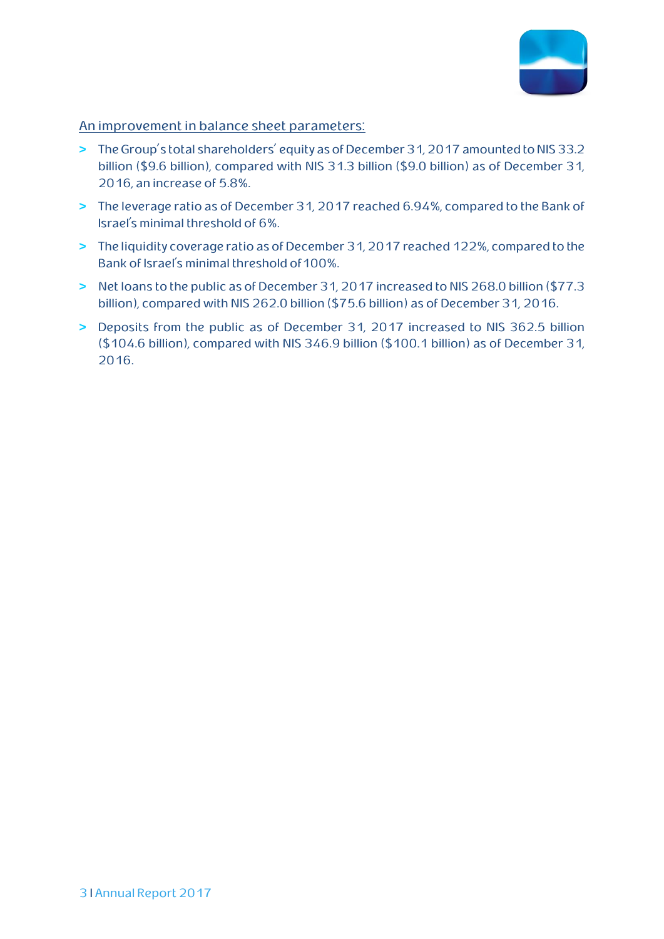

#### An improvement in balance sheet parameters:

- **>** The Group's total shareholders' equity as of December 31, 2017 amounted to NIS 33.2 billion (\$9.6 billion), compared with NIS 31.3 billion (\$9.0 billion) as of December 31, 2016, an increase of 5.8%.
- **>** The leverage ratio as of December 31, 2017 reached 6.94%, compared to the Bank of Israel's minimal threshold of 6%.
- **>** The liquidity coverage ratio as of December 31, 2017 reached 122%, compared to the Bank of Israel's minimal threshold of 100%.
- **>** Net loans to the public as of December 31, 2017 increased to NIS 268.0 billion (\$77.3 billion), compared with NIS 262.0 billion (\$75.6 billion) as of December 31, 2016.
- **>** Deposits from the public as of December 31, 2017 increased to NIS 362.5 billion (\$104.6 billion), compared with NIS 346.9 billion (\$100.1 billion) as of December 31, 2016.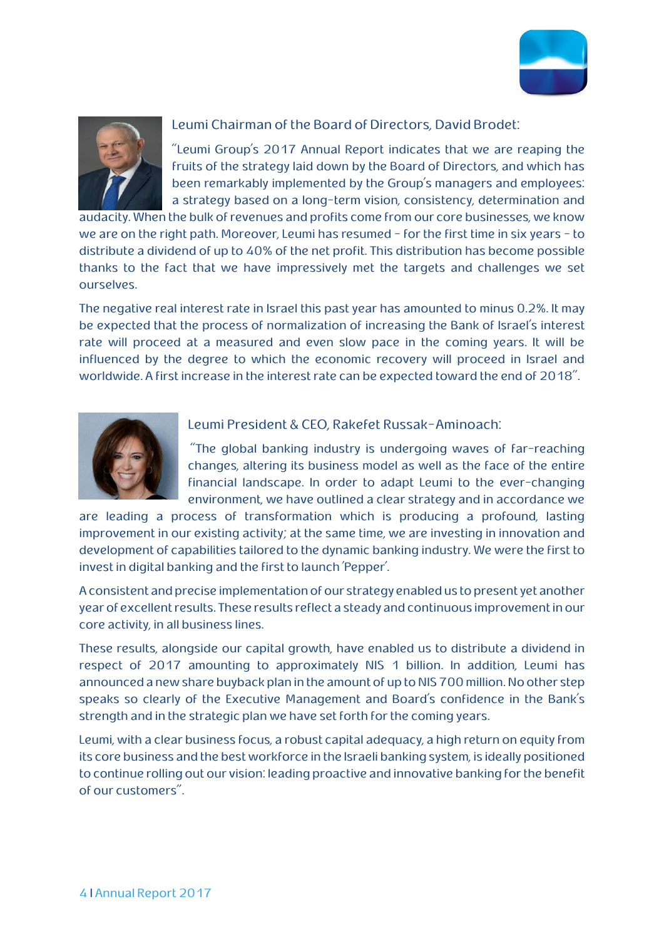



#### Leumi Chairman of the Board of Directors, David Brodet:

"Leumi Group's 2017 Annual Report indicates that we are reaping the fruits of the strategy laid down by the Board of Directors, and which has been remarkably implemented by the Group's managers and employees: a strategy based on a long-term vision, consistency, determination and

audacity. When the bulk of revenues and profits come from our core businesses, we know we are on the right path. Moreover, Leumi has resumed - for the first time in six years - to distribute a dividend of up to 40% of the net profit. This distribution has become possible thanks to the fact that we have impressively met the targets and challenges we set ourselves.

The negative real interest rate in Israel this past year has amounted to minus 0.2%. It may be expected that the process of normalization of increasing the Bank of Israel's interest rate will proceed at a measured and even slow pace in the coming years. It will be influenced by the degree to which the economic recovery will proceed in Israel and worldwide. A first increase in the interest rate can be expected toward the end of 2018".



#### Leumi President & CEO, Rakefet Russak-Aminoach:

"The global banking industry is undergoing waves of far-reaching changes, altering its business model as well as the face of the entire financial landscape. In order to adapt Leumi to the ever-changing environment, we have outlined a clear strategy and in accordance we

are leading a process of transformation which is producing a profound, lasting improvement in our existing activity; at the same time, we are investing in innovation and development of capabilities tailored to the dynamic banking industry. We were the first to invest in digital banking and the first to launch 'Pepper'.

A consistent and precise implementation of our strategy enabled us to present yet another year of excellent results. These results reflect a steady and continuous improvement in our core activity, in all business lines.

These results, alongside our capital growth, have enabled us to distribute a dividend in respect of 2017 amounting to approximately NIS 1 billion. In addition, Leumi has announced a new share buyback plan in the amount of up to NIS 700 million. No other step speaks so clearly of the Executive Management and Board's confidence in the Bank's strength and in the strategic plan we have set forth for the coming years.

Leumi, with a clear business focus, a robust capital adequacy, a high return on equity from its core business and the best workforce in the Israeli banking system, is ideally positioned to continue rolling out our vision: leading proactive and innovative banking for the benefit of our customers".